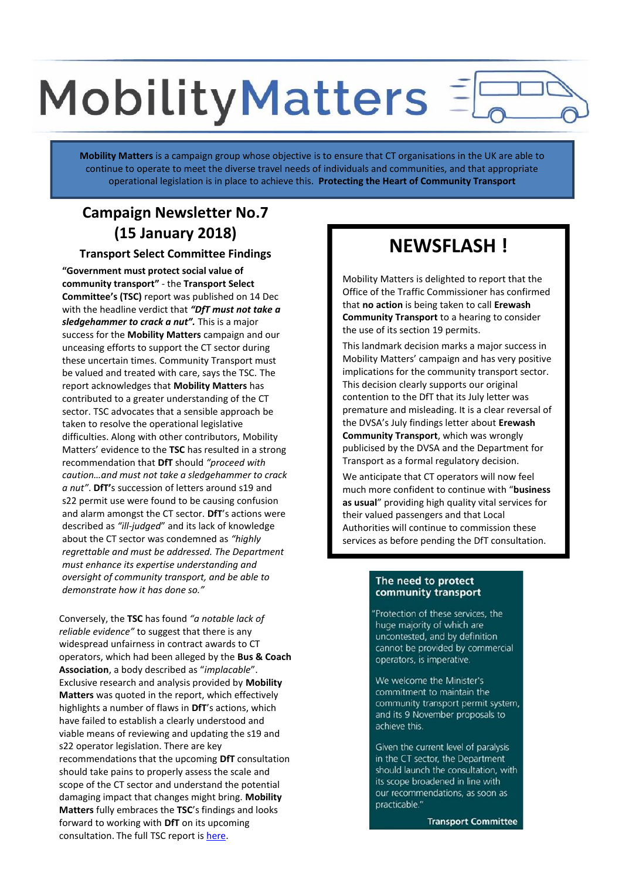# **MobilityMatters**

**Mobility Matters** is a campaign group whose objective is to ensure that CT organisations in the UK are able to continue to operate to meet the diverse travel needs of individuals and communities, and that appropriate operational legislation is in place to achieve this. **Protecting the Heart of Community Transport**

## **Campaign Newsletter No.7 (15 January 2018)**

**Transport Select Committee Findings**

**"Government must protect social value of community transport"** - the **Transport Select Committee's (TSC)** report was published on 14 Dec with the headline verdict that *"DfT must not take a sledgehammer to crack a nut".* This is a major success for the **Mobility Matters** campaign and our unceasing efforts to support the CT sector during these uncertain times. Community Transport must be valued and treated with care, says the TSC. The report acknowledges that **Mobility Matters** has contributed to a greater understanding of the CT sector. TSC advocates that a sensible approach be taken to resolve the operational legislative difficulties. Along with other contributors, Mobility Matters' evidence to the **TSC** has resulted in a strong recommendation that **DfT** should *"proceed with caution…and must not take a sledgehammer to crack a nut"*. **DfT'**s succession of letters around s19 and s22 permit use were found to be causing confusion and alarm amongst the CT sector. **DfT**'s actions were described as *"ill-judged*" and its lack of knowledge about the CT sector was condemned as *"highly regrettable and must be addressed. The Department must enhance its expertise understanding and oversight of community transport, and be able to demonstrate how it has done so."*

Conversely, the **TSC** has found *"a notable lack of reliable evidence"* to suggest that there is any widespread unfairness in contract awards to CT operators, which had been alleged by the **Bus & Coach Association**, a body described as "*implacable*". Exclusive research and analysis provided by **Mobility Matters** was quoted in the report, which effectively highlights a number of flaws in **DfT**'s actions, which have failed to establish a clearly understood and viable means of reviewing and updating the s19 and s22 operator legislation. There are key recommendations that the upcoming **DfT** consultation should take pains to properly assess the scale and scope of the CT sector and understand the potential damaging impact that changes might bring. **Mobility Matters** fully embraces the **TSC**'s findings and looks forward to working with **DfT** on its upcoming consultation. The full TSC report is here.

## **NEWSFLASH !**

Mobility Matters is delighted to report that the Office of the Traffic Commissioner has confirmed that **no action** is being taken to call **Erewash Community Transport** to a hearing to consider the use of its section 19 permits.

This landmark decision marks a major success in Mobility Matters' campaign and has very positive implications for the community transport sector. This decision clearly supports our original contention to the DfT that its July letter was premature and misleading. It is a clear reversal of the DVSA's July findings letter about **Erewash Community Transport**, which was wrongly publicised by the DVSA and the Department for Transport as a formal regulatory decision.

We anticipate that CT operators will now feel much more confident to continue with "**business as usual**" providing high quality vital services for their valued passengers and that Local Authorities will continue to commission these services as before pending the DfT consultation.

#### The need to protect community transport

'Protection of these services, the huge majority of which are uncontested, and by definition cannot be provided by commercial operators, is imperative.

We welcome the Minister's commitment to maintain the community transport permit system, and its 9 November proposals to achieve this.

Given the current level of paralysis in the CT sector, the Department should launch the consultation, with its scope broadened in line with our recommendations, as soon as practicable.'

**Transport Committee**